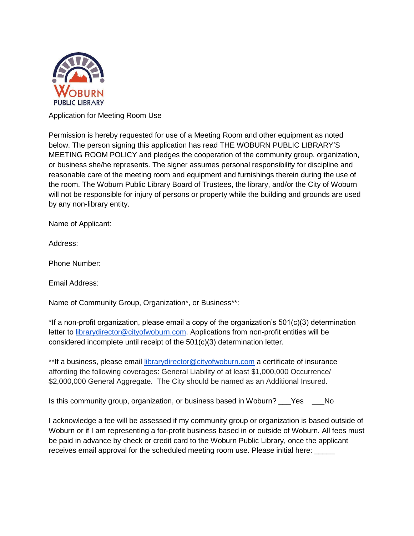

Application for Meeting Room Use

Permission is hereby requested for use of a Meeting Room and other equipment as noted below. The person signing this application has read THE WOBURN PUBLIC LIBRARY'S MEETING ROOM POLICY and pledges the cooperation of the community group, organization, or business she/he represents. The signer assumes personal responsibility for discipline and reasonable care of the meeting room and equipment and furnishings therein during the use of the room. The Woburn Public Library Board of Trustees, the library, and/or the City of Woburn will not be responsible for injury of persons or property while the building and grounds are used by any non-library entity.

Name of Applicant:

Address:

Phone Number:

Email Address:

Name of Community Group, Organization\*, or Business\*\*:

\*If a non-profit organization, please email a copy of the organization's 501(c)(3) determination letter to librarydirector@cityofwoburn.com. Applications from non-profit entities will be considered incomplete until receipt of the 501(c)(3) determination letter.

\*\*If a business, please email librarydirector@cityofwoburn.com a certificate of insurance affording the following coverages: General Liability of at least \$1,000,000 Occurrence/ \$2,000,000 General Aggregate. The City should be named as an Additional Insured.

Is this community group, organization, or business based in Woburn? \_\_\_Yes \_\_\_No

I acknowledge a fee will be assessed if my community group or organization is based outside of Woburn or if I am representing a for-profit business based in or outside of Woburn. All fees must be paid in advance by check or credit card to the Woburn Public Library, once the applicant receives email approval for the scheduled meeting room use. Please initial here: